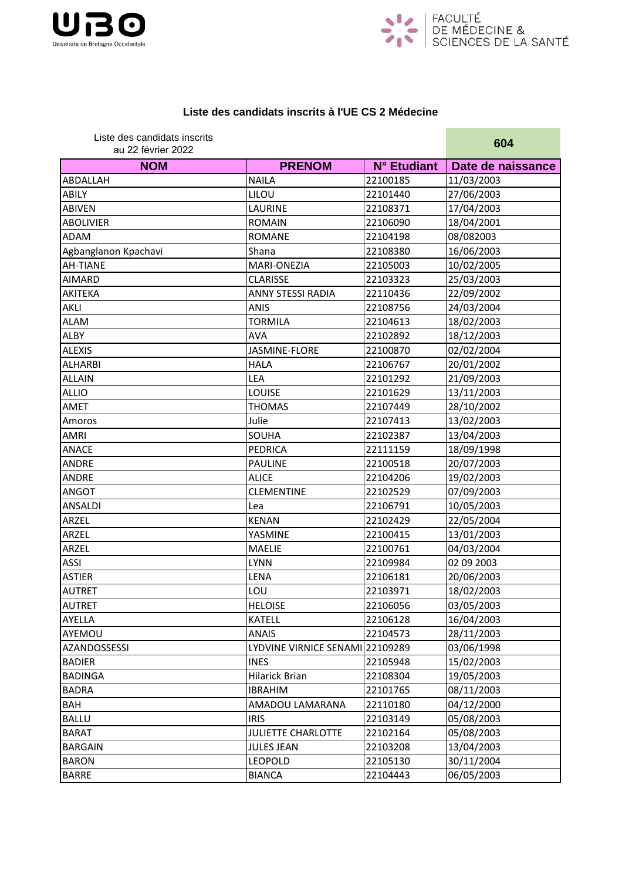



## **Liste des candidats inscrits à l'UE CS 2 Médecine**

| Liste des candidats inscrits<br>au 22 février 2022 |                                 |             | 604               |
|----------------------------------------------------|---------------------------------|-------------|-------------------|
| <b>NOM</b>                                         | <b>PRENOM</b>                   | N° Etudiant | Date de naissance |
| <b>ABDALLAH</b>                                    | <b>NAILA</b>                    | 22100185    | 11/03/2003        |
| <b>ABILY</b>                                       | LILOU                           | 22101440    | 27/06/2003        |
| <b>ABIVEN</b>                                      | LAURINE                         | 22108371    | 17/04/2003        |
| <b>ABOLIVIER</b>                                   | <b>ROMAIN</b>                   | 22106090    | 18/04/2001        |
| <b>ADAM</b>                                        | <b>ROMANE</b>                   | 22104198    | 08/082003         |
| Agbanglanon Kpachavi                               | Shana                           | 22108380    | 16/06/2003        |
| <b>AH-TIANE</b>                                    | MARI-ONEZIA                     | 22105003    | 10/02/2005        |
| <b>AIMARD</b>                                      | <b>CLARISSE</b>                 | 22103323    | 25/03/2003        |
| <b>AKITEKA</b>                                     | <b>ANNY STESSI RADIA</b>        | 22110436    | 22/09/2002        |
| <b>AKLI</b>                                        | <b>ANIS</b>                     | 22108756    | 24/03/2004        |
| <b>ALAM</b>                                        | <b>TORMILA</b>                  | 22104613    | 18/02/2003        |
| <b>ALBY</b>                                        | <b>AVA</b>                      | 22102892    | 18/12/2003        |
| <b>ALEXIS</b>                                      | JASMINE-FLORE                   | 22100870    | 02/02/2004        |
| <b>ALHARBI</b>                                     | <b>HALA</b>                     | 22106767    | 20/01/2002        |
| <b>ALLAIN</b>                                      | LEA                             | 22101292    | 21/09/2003        |
| <b>ALLIO</b>                                       | <b>LOUISE</b>                   | 22101629    | 13/11/2003        |
| AMET                                               | <b>THOMAS</b>                   | 22107449    | 28/10/2002        |
| Amoros                                             | Julie                           | 22107413    | 13/02/2003        |
| AMRI                                               | SOUHA                           | 22102387    | 13/04/2003        |
| <b>ANACE</b>                                       | PEDRICA                         | 22111159    | 18/09/1998        |
| <b>ANDRE</b>                                       | <b>PAULINE</b>                  | 22100518    | 20/07/2003        |
| <b>ANDRE</b>                                       | <b>ALICE</b>                    | 22104206    | 19/02/2003        |
| <b>ANGOT</b>                                       | <b>CLEMENTINE</b>               | 22102529    | 07/09/2003        |
| <b>ANSALDI</b>                                     | Lea                             | 22106791    | 10/05/2003        |
| ARZEL                                              | <b>KENAN</b>                    | 22102429    | 22/05/2004        |
| <b>ARZEL</b>                                       | YASMINE                         | 22100415    | 13/01/2003        |
| ARZEL                                              | <b>MAELIE</b>                   | 22100761    | 04/03/2004        |
| <b>ASSI</b>                                        | <b>LYNN</b>                     | 22109984    | 02 09 2003        |
| <b>ASTIER</b>                                      | LENA                            | 22106181    | 20/06/2003        |
| <b>AUTRET</b>                                      | LOU                             | 22103971    | 18/02/2003        |
| <b>AUTRET</b>                                      | <b>HELOISE</b>                  | 22106056    | 03/05/2003        |
| AYELLA                                             | <b>KATELL</b>                   | 22106128    | 16/04/2003        |
| AYEMOU                                             | <b>ANAIS</b>                    | 22104573    | 28/11/2003        |
| <b>AZANDOSSESSI</b>                                | LYDVINE VIRNICE SENAMI 22109289 |             | 03/06/1998        |
| <b>BADIER</b>                                      | <b>INES</b>                     | 22105948    | 15/02/2003        |
| <b>BADINGA</b>                                     | Hilarick Brian                  | 22108304    | 19/05/2003        |
| <b>BADRA</b>                                       | <b>IBRAHIM</b>                  | 22101765    | 08/11/2003        |
| BAH                                                | AMADOU LAMARANA                 | 22110180    | 04/12/2000        |
| <b>BALLU</b>                                       | <b>IRIS</b>                     | 22103149    | 05/08/2003        |
| <b>BARAT</b>                                       | <b>JULIETTE CHARLOTTE</b>       | 22102164    | 05/08/2003        |
| <b>BARGAIN</b>                                     | <b>JULES JEAN</b>               | 22103208    | 13/04/2003        |
| <b>BARON</b>                                       | <b>LEOPOLD</b>                  | 22105130    | 30/11/2004        |
| <b>BARRE</b>                                       | <b>BIANCA</b>                   | 22104443    | 06/05/2003        |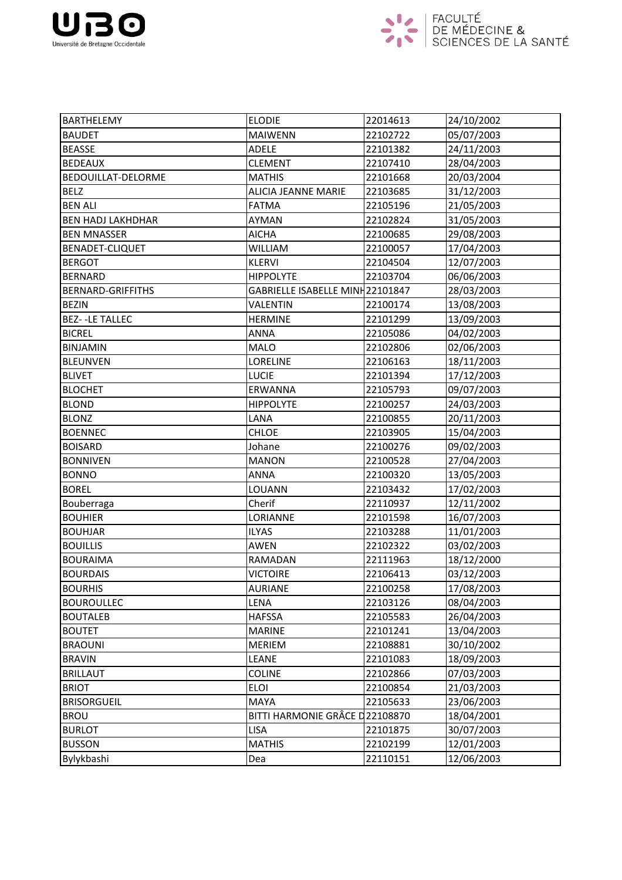



| <b>BARTHELEMY</b>        | <b>ELODIE</b>                   | 22014613 | 24/10/2002 |
|--------------------------|---------------------------------|----------|------------|
| <b>BAUDET</b>            | <b>MAIWENN</b>                  | 22102722 | 05/07/2003 |
| <b>BEASSE</b>            | ADELE                           | 22101382 | 24/11/2003 |
| <b>BEDEAUX</b>           | <b>CLEMENT</b>                  | 22107410 | 28/04/2003 |
| BEDOUILLAT-DELORME       | <b>MATHIS</b>                   | 22101668 | 20/03/2004 |
| <b>BELZ</b>              | <b>ALICIA JEANNE MARIE</b>      | 22103685 | 31/12/2003 |
| <b>BEN ALI</b>           | <b>FATMA</b>                    | 22105196 | 21/05/2003 |
| <b>BEN HADJ LAKHDHAR</b> | AYMAN                           | 22102824 | 31/05/2003 |
| <b>BEN MNASSER</b>       | <b>AICHA</b>                    | 22100685 | 29/08/2003 |
| BENADET-CLIQUET          | <b>WILLIAM</b>                  | 22100057 | 17/04/2003 |
| <b>BERGOT</b>            | <b>KLERVI</b>                   | 22104504 | 12/07/2003 |
| <b>BERNARD</b>           | <b>HIPPOLYTE</b>                | 22103704 | 06/06/2003 |
| <b>BERNARD-GRIFFITHS</b> | GABRIELLE ISABELLE MINH22101847 |          | 28/03/2003 |
| <b>BEZIN</b>             | <b>VALENTIN</b>                 | 22100174 | 13/08/2003 |
| <b>BEZ--LE TALLEC</b>    | <b>HERMINE</b>                  | 22101299 | 13/09/2003 |
| <b>BICREL</b>            | <b>ANNA</b>                     | 22105086 | 04/02/2003 |
| <b>BINJAMIN</b>          | <b>MALO</b>                     | 22102806 | 02/06/2003 |
| <b>BLEUNVEN</b>          | <b>LORELINE</b>                 | 22106163 | 18/11/2003 |
| <b>BLIVET</b>            | <b>LUCIE</b>                    | 22101394 | 17/12/2003 |
| <b>BLOCHET</b>           | ERWANNA                         | 22105793 | 09/07/2003 |
| <b>BLOND</b>             | <b>HIPPOLYTE</b>                | 22100257 | 24/03/2003 |
| <b>BLONZ</b>             | LANA                            | 22100855 | 20/11/2003 |
| <b>BOENNEC</b>           | <b>CHLOE</b>                    | 22103905 | 15/04/2003 |
| <b>BOISARD</b>           | Johane                          | 22100276 | 09/02/2003 |
| <b>BONNIVEN</b>          | <b>MANON</b>                    | 22100528 | 27/04/2003 |
| <b>BONNO</b>             | <b>ANNA</b>                     | 22100320 | 13/05/2003 |
| <b>BOREL</b>             | LOUANN                          | 22103432 | 17/02/2003 |
| Bouberraga               | Cherif                          | 22110937 | 12/11/2002 |
| <b>BOUHIER</b>           | LORIANNE                        | 22101598 | 16/07/2003 |
| <b>BOUHJAR</b>           | <b>ILYAS</b>                    | 22103288 | 11/01/2003 |
| <b>BOUILLIS</b>          | <b>AWEN</b>                     | 22102322 | 03/02/2003 |
| <b>BOURAIMA</b>          | RAMADAN                         | 22111963 | 18/12/2000 |
| <b>BOURDAIS</b>          | <b>VICTOIRE</b>                 | 22106413 | 03/12/2003 |
| <b>BOURHIS</b>           | <b>AURIANE</b>                  | 22100258 | 17/08/2003 |
| <b>BOUROULLEC</b>        | LENA                            | 22103126 | 08/04/2003 |
| <b>BOUTALEB</b>          | <b>HAFSSA</b>                   | 22105583 | 26/04/2003 |
| <b>BOUTET</b>            | <b>MARINE</b>                   | 22101241 | 13/04/2003 |
| <b>BRAOUNI</b>           | <b>MERIEM</b>                   | 22108881 | 30/10/2002 |
| <b>BRAVIN</b>            | LEANE                           | 22101083 | 18/09/2003 |
| <b>BRILLAUT</b>          | <b>COLINE</b>                   | 22102866 | 07/03/2003 |
| <b>BRIOT</b>             | <b>ELOI</b>                     | 22100854 | 21/03/2003 |
| <b>BRISORGUEIL</b>       | MAYA                            | 22105633 | 23/06/2003 |
| <b>BROU</b>              | BITTI HARMONIE GRÂCE D22108870  |          | 18/04/2001 |
| <b>BURLOT</b>            | <b>LISA</b>                     | 22101875 | 30/07/2003 |
| <b>BUSSON</b>            | <b>MATHIS</b>                   | 22102199 | 12/01/2003 |
| Bylykbashi               | Dea                             | 22110151 | 12/06/2003 |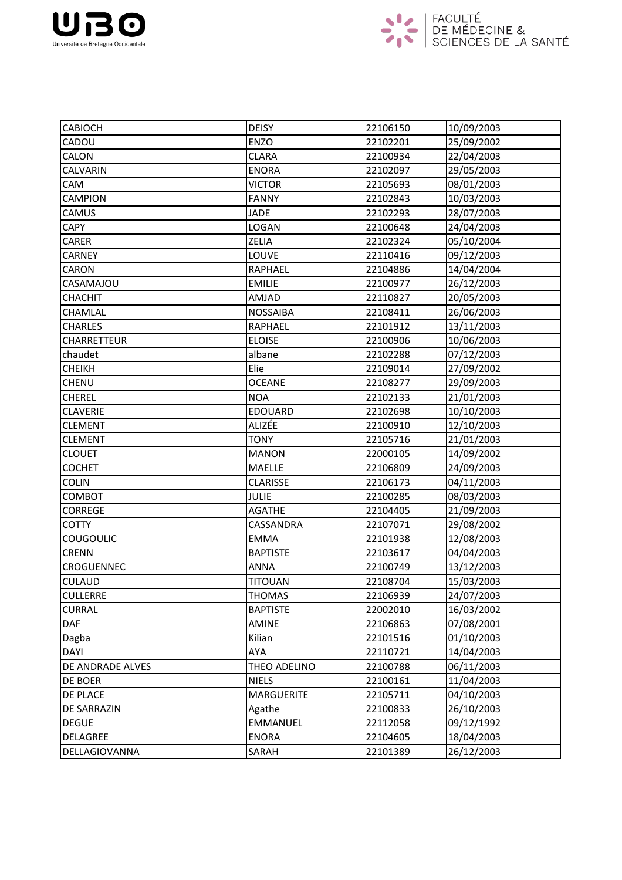



| <b>CABIOCH</b>     | <b>DEISY</b>      | 22106150 | 10/09/2003 |
|--------------------|-------------------|----------|------------|
| CADOU              | <b>ENZO</b>       | 22102201 | 25/09/2002 |
| CALON              | <b>CLARA</b>      | 22100934 | 22/04/2003 |
| CALVARIN           | <b>ENORA</b>      | 22102097 | 29/05/2003 |
| CAM                | <b>VICTOR</b>     | 22105693 | 08/01/2003 |
| <b>CAMPION</b>     | <b>FANNY</b>      | 22102843 | 10/03/2003 |
| CAMUS              | <b>JADE</b>       | 22102293 | 28/07/2003 |
| <b>CAPY</b>        | LOGAN             | 22100648 | 24/04/2003 |
| CARER              | ZELIA             | 22102324 | 05/10/2004 |
| <b>CARNEY</b>      | LOUVE             | 22110416 | 09/12/2003 |
| <b>CARON</b>       | <b>RAPHAEL</b>    | 22104886 | 14/04/2004 |
| CASAMAJOU          | <b>EMILIE</b>     | 22100977 | 26/12/2003 |
| <b>CHACHIT</b>     | AMJAD             | 22110827 | 20/05/2003 |
| CHAMLAL            | <b>NOSSAIBA</b>   | 22108411 | 26/06/2003 |
| <b>CHARLES</b>     | <b>RAPHAEL</b>    | 22101912 | 13/11/2003 |
| <b>CHARRETTEUR</b> | <b>ELOISE</b>     | 22100906 | 10/06/2003 |
| chaudet            | albane            | 22102288 | 07/12/2003 |
| <b>CHEIKH</b>      | Elie              | 22109014 | 27/09/2002 |
| <b>CHENU</b>       | <b>OCEANE</b>     | 22108277 | 29/09/2003 |
| <b>CHEREL</b>      | <b>NOA</b>        | 22102133 | 21/01/2003 |
| <b>CLAVERIE</b>    | <b>EDOUARD</b>    | 22102698 | 10/10/2003 |
| <b>CLEMENT</b>     | ALIZÉE            | 22100910 | 12/10/2003 |
| <b>CLEMENT</b>     | <b>TONY</b>       | 22105716 | 21/01/2003 |
| <b>CLOUET</b>      | <b>MANON</b>      | 22000105 | 14/09/2002 |
| <b>COCHET</b>      | <b>MAELLE</b>     | 22106809 | 24/09/2003 |
| <b>COLIN</b>       | <b>CLARISSE</b>   | 22106173 | 04/11/2003 |
| COMBOT             | <b>JULIE</b>      | 22100285 | 08/03/2003 |
| <b>CORREGE</b>     | <b>AGATHE</b>     | 22104405 | 21/09/2003 |
| <b>COTTY</b>       | CASSANDRA         | 22107071 | 29/08/2002 |
| <b>COUGOULIC</b>   | <b>EMMA</b>       | 22101938 | 12/08/2003 |
| <b>CRENN</b>       | <b>BAPTISTE</b>   | 22103617 | 04/04/2003 |
| CROGUENNEC         | <b>ANNA</b>       | 22100749 | 13/12/2003 |
| <b>CULAUD</b>      | TITOUAN           | 22108704 | 15/03/2003 |
| <b>CULLERRE</b>    | <b>THOMAS</b>     | 22106939 | 24/07/2003 |
| <b>CURRAL</b>      | <b>BAPTISTE</b>   | 22002010 | 16/03/2002 |
| <b>DAF</b>         | <b>AMINE</b>      | 22106863 | 07/08/2001 |
| Dagba              | Kilian            | 22101516 | 01/10/2003 |
| <b>DAYI</b>        | AYA               | 22110721 | 14/04/2003 |
| DE ANDRADE ALVES   | THEO ADELINO      | 22100788 | 06/11/2003 |
| DE BOER            | <b>NIELS</b>      | 22100161 | 11/04/2003 |
| DE PLACE           | <b>MARGUERITE</b> | 22105711 | 04/10/2003 |
| DE SARRAZIN        | Agathe            | 22100833 | 26/10/2003 |
| <b>DEGUE</b>       | <b>EMMANUEL</b>   | 22112058 | 09/12/1992 |
| DELAGREE           | <b>ENORA</b>      | 22104605 | 18/04/2003 |
| DELLAGIOVANNA      | SARAH             | 22101389 | 26/12/2003 |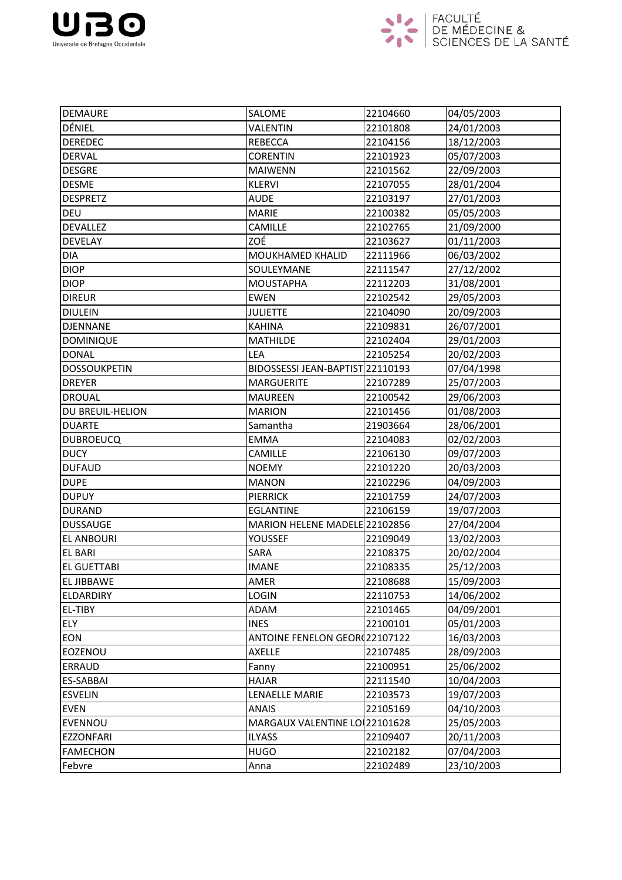



| <b>DEMAURE</b>      | SALOME                               | 22104660 | 04/05/2003 |
|---------------------|--------------------------------------|----------|------------|
| DÉNIEL              | <b>VALENTIN</b>                      | 22101808 | 24/01/2003 |
| <b>DEREDEC</b>      | <b>REBECCA</b>                       | 22104156 | 18/12/2003 |
| <b>DERVAL</b>       | <b>CORENTIN</b>                      | 22101923 | 05/07/2003 |
| <b>DESGRE</b>       | <b>MAIWENN</b>                       | 22101562 | 22/09/2003 |
| <b>DESME</b>        | <b>KLERVI</b>                        | 22107055 | 28/01/2004 |
| <b>DESPRETZ</b>     | <b>AUDE</b>                          | 22103197 | 27/01/2003 |
| <b>DEU</b>          | <b>MARIE</b>                         | 22100382 | 05/05/2003 |
| <b>DEVALLEZ</b>     | <b>CAMILLE</b>                       | 22102765 | 21/09/2000 |
| <b>DEVELAY</b>      | ZOÉ                                  | 22103627 | 01/11/2003 |
| DIA                 | MOUKHAMED KHALID                     | 22111966 | 06/03/2002 |
| <b>DIOP</b>         | SOULEYMANE                           | 22111547 | 27/12/2002 |
| <b>DIOP</b>         | <b>MOUSTAPHA</b>                     | 22112203 | 31/08/2001 |
| <b>DIREUR</b>       | <b>EWEN</b>                          | 22102542 | 29/05/2003 |
| <b>DIULEIN</b>      | <b>JULIETTE</b>                      | 22104090 | 20/09/2003 |
| <b>DJENNANE</b>     | <b>KAHINA</b>                        | 22109831 | 26/07/2001 |
| <b>DOMINIQUE</b>    | <b>MATHILDE</b>                      | 22102404 | 29/01/2003 |
| <b>DONAL</b>        | LEA                                  | 22105254 | 20/02/2003 |
| <b>DOSSOUKPETIN</b> | BIDOSSESSI JEAN-BAPTIST 22110193     |          | 07/04/1998 |
| <b>DREYER</b>       | <b>MARGUERITE</b>                    | 22107289 | 25/07/2003 |
| <b>DROUAL</b>       | <b>MAUREEN</b>                       | 22100542 | 29/06/2003 |
| DU BREUIL-HELION    | <b>MARION</b>                        | 22101456 | 01/08/2003 |
| <b>DUARTE</b>       | Samantha                             | 21903664 | 28/06/2001 |
| <b>DUBROEUCQ</b>    | <b>EMMA</b>                          | 22104083 | 02/02/2003 |
| <b>DUCY</b>         | <b>CAMILLE</b>                       | 22106130 | 09/07/2003 |
| <b>DUFAUD</b>       | <b>NOEMY</b>                         | 22101220 | 20/03/2003 |
| <b>DUPE</b>         | <b>MANON</b>                         | 22102296 | 04/09/2003 |
| <b>DUPUY</b>        | <b>PIERRICK</b>                      | 22101759 | 24/07/2003 |
| <b>DURAND</b>       | <b>EGLANTINE</b>                     | 22106159 | 19/07/2003 |
| <b>DUSSAUGE</b>     | MARION HELENE MADELE 22102856        |          | 27/04/2004 |
| <b>EL ANBOURI</b>   | YOUSSEF                              | 22109049 | 13/02/2003 |
| <b>EL BARI</b>      | SARA                                 | 22108375 | 20/02/2004 |
| <b>EL GUETTABI</b>  | <b>IMANE</b>                         | 22108335 | 25/12/2003 |
| <b>EL JIBBAWE</b>   | AMER                                 | 22108688 | 15/09/2003 |
| <b>ELDARDIRY</b>    | <b>LOGIN</b>                         | 22110753 | 14/06/2002 |
| EL-TIBY             | ADAM                                 | 22101465 | 04/09/2001 |
| <b>ELY</b>          | <b>INES</b>                          | 22100101 | 05/01/2003 |
| <b>EON</b>          | <b>ANTOINE FENELON GEOR(22107122</b> |          | 16/03/2003 |
| EOZENOU             | <b>AXELLE</b>                        | 22107485 | 28/09/2003 |
| ERRAUD              | Fanny                                | 22100951 | 25/06/2002 |
| <b>ES-SABBAI</b>    | <b>HAJAR</b>                         | 22111540 | 10/04/2003 |
| <b>ESVELIN</b>      | LENAELLE MARIE                       | 22103573 | 19/07/2003 |
| <b>EVEN</b>         | <b>ANAIS</b>                         | 22105169 | 04/10/2003 |
| EVENNOU             | MARGAUX VALENTINE LO 22101628        |          | 25/05/2003 |
| <b>EZZONFARI</b>    | <b>ILYASS</b>                        | 22109407 | 20/11/2003 |
| <b>FAMECHON</b>     | <b>HUGO</b>                          | 22102182 | 07/04/2003 |
| Febvre              | Anna                                 | 22102489 | 23/10/2003 |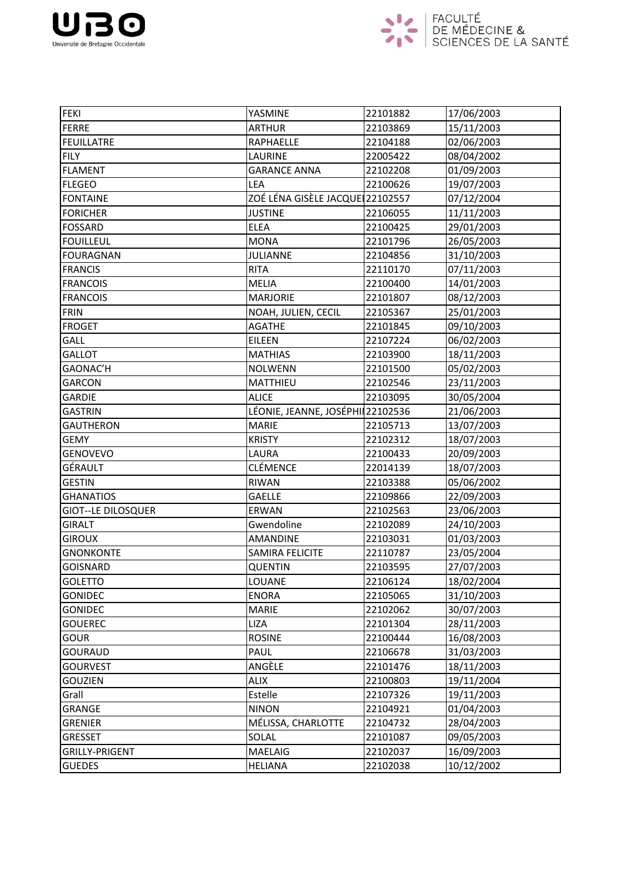



| <b>FEKI</b>               | YASMINE                          | 22101882 | 17/06/2003 |
|---------------------------|----------------------------------|----------|------------|
| FERRE                     | <b>ARTHUR</b>                    | 22103869 | 15/11/2003 |
| <b>FEUILLATRE</b>         | <b>RAPHAELLE</b>                 | 22104188 | 02/06/2003 |
| <b>FILY</b>               | LAURINE                          | 22005422 | 08/04/2002 |
| <b>FLAMENT</b>            | <b>GARANCE ANNA</b>              | 22102208 | 01/09/2003 |
| <b>FLEGEO</b>             | LEA                              | 22100626 | 19/07/2003 |
| <b>FONTAINE</b>           | ZOÉ LÉNA GISÈLE JACQUE 22102557  |          | 07/12/2004 |
| <b>FORICHER</b>           | <b>JUSTINE</b>                   | 22106055 | 11/11/2003 |
| <b>FOSSARD</b>            | <b>ELEA</b>                      | 22100425 | 29/01/2003 |
| <b>FOUILLEUL</b>          | <b>MONA</b>                      | 22101796 | 26/05/2003 |
| <b>FOURAGNAN</b>          | <b>JULIANNE</b>                  | 22104856 | 31/10/2003 |
| <b>FRANCIS</b>            | <b>RITA</b>                      | 22110170 | 07/11/2003 |
| <b>FRANCOIS</b>           | <b>MELIA</b>                     | 22100400 | 14/01/2003 |
| <b>FRANCOIS</b>           | <b>MARJORIE</b>                  | 22101807 | 08/12/2003 |
| <b>FRIN</b>               | NOAH, JULIEN, CECIL              | 22105367 | 25/01/2003 |
| <b>FROGET</b>             | <b>AGATHE</b>                    | 22101845 | 09/10/2003 |
| GALL                      | <b>EILEEN</b>                    | 22107224 | 06/02/2003 |
| <b>GALLOT</b>             | <b>MATHIAS</b>                   | 22103900 | 18/11/2003 |
| GAONAC'H                  | <b>NOLWENN</b>                   | 22101500 | 05/02/2003 |
| <b>GARCON</b>             | MATTHIEU                         | 22102546 | 23/11/2003 |
| <b>GARDIE</b>             | <b>ALICE</b>                     | 22103095 | 30/05/2004 |
| <b>GASTRIN</b>            | LÉONIE, JEANNE, JOSÉPHI 22102536 |          | 21/06/2003 |
| <b>GAUTHERON</b>          | <b>MARIE</b>                     | 22105713 | 13/07/2003 |
| <b>GEMY</b>               | <b>KRISTY</b>                    | 22102312 | 18/07/2003 |
| <b>GENOVEVO</b>           | LAURA                            | 22100433 | 20/09/2003 |
| GÉRAULT                   | <b>CLÉMENCE</b>                  | 22014139 | 18/07/2003 |
| <b>GESTIN</b>             | RIWAN                            | 22103388 | 05/06/2002 |
| <b>GHANATIOS</b>          | <b>GAELLE</b>                    | 22109866 | 22/09/2003 |
| <b>GIOT--LE DILOSQUER</b> | ERWAN                            | 22102563 | 23/06/2003 |
| <b>GIRALT</b>             | Gwendoline                       | 22102089 | 24/10/2003 |
| <b>GIROUX</b>             | <b>AMANDINE</b>                  | 22103031 | 01/03/2003 |
| <b>GNONKONTE</b>          | SAMIRA FELICITE                  | 22110787 | 23/05/2004 |
| <b>GOISNARD</b>           | <b>QUENTIN</b>                   | 22103595 | 27/07/2003 |
| <b>GOLETTO</b>            | <b>LOUANE</b>                    | 22106124 | 18/02/2004 |
| <b>GONIDEC</b>            | <b>ENORA</b>                     | 22105065 | 31/10/2003 |
| <b>GONIDEC</b>            | <b>MARIE</b>                     | 22102062 | 30/07/2003 |
| <b>GOUEREC</b>            | <b>LIZA</b>                      | 22101304 | 28/11/2003 |
| <b>GOUR</b>               | <b>ROSINE</b>                    | 22100444 | 16/08/2003 |
| <b>GOURAUD</b>            | PAUL                             | 22106678 | 31/03/2003 |
| <b>GOURVEST</b>           | ANGÈLE                           | 22101476 | 18/11/2003 |
| <b>GOUZIEN</b>            | <b>ALIX</b>                      | 22100803 | 19/11/2004 |
| Grall                     | Estelle                          | 22107326 | 19/11/2003 |
| <b>GRANGE</b>             | <b>NINON</b>                     | 22104921 | 01/04/2003 |
| <b>GRENIER</b>            | MÉLISSA, CHARLOTTE               | 22104732 | 28/04/2003 |
| <b>GRESSET</b>            | SOLAL                            | 22101087 | 09/05/2003 |
| <b>GRILLY-PRIGENT</b>     | <b>MAELAIG</b>                   | 22102037 | 16/09/2003 |
| <b>GUEDES</b>             | <b>HELIANA</b>                   | 22102038 | 10/12/2002 |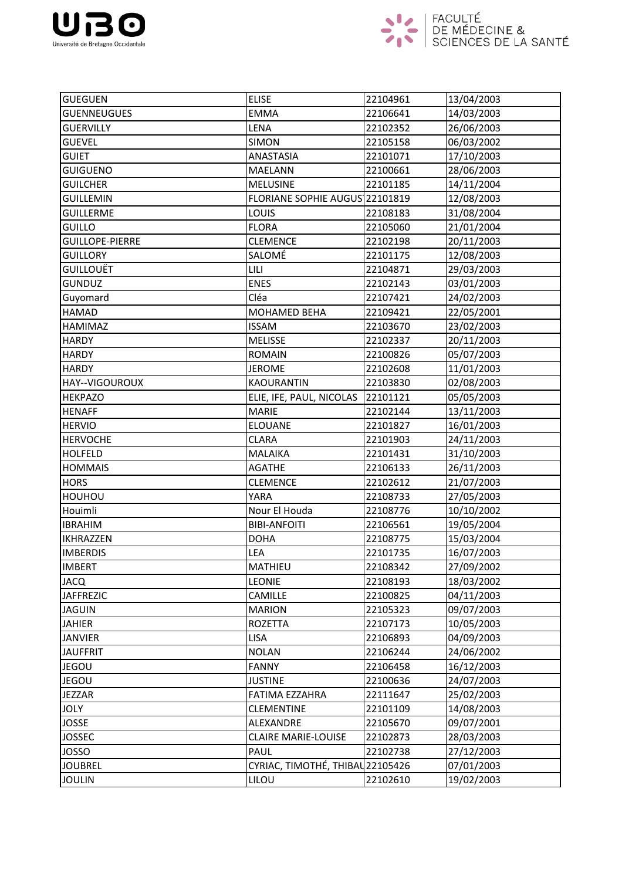



| <b>GUEGUEN</b>         | <b>ELISE</b>                     | 22104961 | 13/04/2003 |
|------------------------|----------------------------------|----------|------------|
| <b>GUENNEUGUES</b>     | <b>EMMA</b>                      | 22106641 | 14/03/2003 |
| <b>GUERVILLY</b>       | LENA                             | 22102352 | 26/06/2003 |
| <b>GUEVEL</b>          | <b>SIMON</b>                     | 22105158 | 06/03/2002 |
| <b>GUIET</b>           | ANASTASIA                        | 22101071 | 17/10/2003 |
| <b>GUIGUENO</b>        | <b>MAELANN</b>                   | 22100661 | 28/06/2003 |
| <b>GUILCHER</b>        | <b>MELUSINE</b>                  | 22101185 | 14/11/2004 |
| <b>GUILLEMIN</b>       | FLORIANE SOPHIE AUGUS 22101819   |          | 12/08/2003 |
| <b>GUILLERME</b>       | LOUIS                            | 22108183 | 31/08/2004 |
| <b>GUILLO</b>          | <b>FLORA</b>                     | 22105060 | 21/01/2004 |
| <b>GUILLOPE-PIERRE</b> | <b>CLEMENCE</b>                  | 22102198 | 20/11/2003 |
| <b>GUILLORY</b>        | SALOMÉ                           | 22101175 | 12/08/2003 |
| <b>GUILLOUËT</b>       | <b>LILI</b>                      | 22104871 | 29/03/2003 |
| <b>GUNDUZ</b>          | <b>ENES</b>                      | 22102143 | 03/01/2003 |
| Guyomard               | Cléa                             | 22107421 | 24/02/2003 |
| <b>HAMAD</b>           | MOHAMED BEHA                     | 22109421 | 22/05/2001 |
| HAMIMAZ                | <b>ISSAM</b>                     | 22103670 | 23/02/2003 |
| <b>HARDY</b>           | <b>MELISSE</b>                   | 22102337 | 20/11/2003 |
| <b>HARDY</b>           | <b>ROMAIN</b>                    | 22100826 | 05/07/2003 |
| <b>HARDY</b>           | <b>JEROME</b>                    | 22102608 | 11/01/2003 |
| HAY--VIGOUROUX         | <b>KAOURANTIN</b>                | 22103830 | 02/08/2003 |
| <b>HEKPAZO</b>         | ELIE, IFE, PAUL, NICOLAS         | 22101121 | 05/05/2003 |
| <b>HENAFF</b>          | <b>MARIE</b>                     | 22102144 | 13/11/2003 |
| <b>HERVIO</b>          | <b>ELOUANE</b>                   | 22101827 | 16/01/2003 |
| <b>HERVOCHE</b>        | <b>CLARA</b>                     | 22101903 | 24/11/2003 |
| <b>HOLFELD</b>         | <b>MALAIKA</b>                   | 22101431 | 31/10/2003 |
| <b>HOMMAIS</b>         | <b>AGATHE</b>                    | 22106133 | 26/11/2003 |
| <b>HORS</b>            | <b>CLEMENCE</b>                  | 22102612 | 21/07/2003 |
| HOUHOU                 | <b>YARA</b>                      | 22108733 | 27/05/2003 |
| Houimli                | Nour El Houda                    | 22108776 | 10/10/2002 |
| <b>IBRAHIM</b>         | <b>BIBI-ANFOITI</b>              | 22106561 | 19/05/2004 |
| <b>IKHRAZZEN</b>       | <b>DOHA</b>                      | 22108775 | 15/03/2004 |
| <b>IMBERDIS</b>        | LEA                              | 22101735 | 16/07/2003 |
| <b>IMBERT</b>          | <b>MATHIEU</b>                   | 22108342 | 27/09/2002 |
| <b>JACQ</b>            | <b>LEONIE</b>                    | 22108193 | 18/03/2002 |
| <b>JAFFREZIC</b>       | CAMILLE                          | 22100825 | 04/11/2003 |
| <b>JAGUIN</b>          | <b>MARION</b>                    | 22105323 | 09/07/2003 |
| <b>JAHIER</b>          | <b>ROZETTA</b>                   | 22107173 | 10/05/2003 |
| <b>JANVIER</b>         | <b>LISA</b>                      | 22106893 | 04/09/2003 |
| <b>JAUFFRIT</b>        | <b>NOLAN</b>                     | 22106244 | 24/06/2002 |
| <b>JEGOU</b>           | <b>FANNY</b>                     | 22106458 | 16/12/2003 |
| <b>JEGOU</b>           | <b>JUSTINE</b>                   | 22100636 | 24/07/2003 |
| <b>JEZZAR</b>          | FATIMA EZZAHRA                   | 22111647 | 25/02/2003 |
| <b>JOLY</b>            | <b>CLEMENTINE</b>                | 22101109 | 14/08/2003 |
| <b>JOSSE</b>           | ALEXANDRE                        | 22105670 | 09/07/2001 |
| <b>JOSSEC</b>          | <b>CLAIRE MARIE-LOUISE</b>       | 22102873 | 28/03/2003 |
| <b>JOSSO</b>           | PAUL                             | 22102738 | 27/12/2003 |
| <b>JOUBREL</b>         | CYRIAC, TIMOTHÉ, THIBAU 22105426 |          | 07/01/2003 |
| <b>JOULIN</b>          | LILOU                            | 22102610 | 19/02/2003 |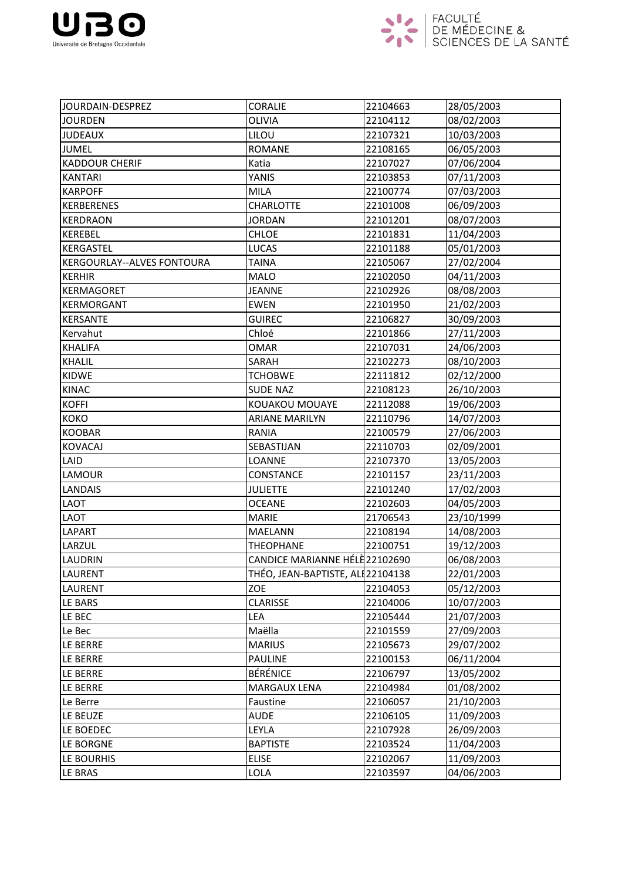



| JOURDAIN-DESPREZ           | <b>CORALIE</b>                    | 22104663 | 28/05/2003 |
|----------------------------|-----------------------------------|----------|------------|
| <b>JOURDEN</b>             | <b>OLIVIA</b>                     | 22104112 | 08/02/2003 |
| <b>JUDEAUX</b>             | LILOU                             | 22107321 | 10/03/2003 |
| <b>JUMEL</b>               | <b>ROMANE</b>                     | 22108165 | 06/05/2003 |
| <b>KADDOUR CHERIF</b>      | Katia                             | 22107027 | 07/06/2004 |
| <b>KANTARI</b>             | YANIS                             | 22103853 | 07/11/2003 |
| <b>KARPOFF</b>             | <b>MILA</b>                       | 22100774 | 07/03/2003 |
| <b>KERBERENES</b>          | <b>CHARLOTTE</b>                  | 22101008 | 06/09/2003 |
| <b>KERDRAON</b>            | <b>JORDAN</b>                     | 22101201 | 08/07/2003 |
| KEREBEL                    | <b>CHLOE</b>                      | 22101831 | 11/04/2003 |
| <b>KERGASTEL</b>           | <b>LUCAS</b>                      | 22101188 | 05/01/2003 |
| KERGOURLAY--ALVES FONTOURA | <b>TAINA</b>                      | 22105067 | 27/02/2004 |
| <b>KERHIR</b>              | <b>MALO</b>                       | 22102050 | 04/11/2003 |
| <b>KERMAGORET</b>          | <b>JEANNE</b>                     | 22102926 | 08/08/2003 |
| KERMORGANT                 | <b>EWEN</b>                       | 22101950 | 21/02/2003 |
| KERSANTE                   | <b>GUIREC</b>                     | 22106827 | 30/09/2003 |
| Kervahut                   | Chloé                             | 22101866 | 27/11/2003 |
| <b>KHALIFA</b>             | <b>OMAR</b>                       | 22107031 | 24/06/2003 |
| KHALIL                     | SARAH                             | 22102273 | 08/10/2003 |
| KIDWE                      | <b>TCHOBWE</b>                    | 22111812 | 02/12/2000 |
| <b>KINAC</b>               | <b>SUDE NAZ</b>                   | 22108123 | 26/10/2003 |
| <b>KOFFI</b>               | KOUAKOU MOUAYE                    | 22112088 | 19/06/2003 |
| <b>KOKO</b>                | <b>ARIANE MARILYN</b>             | 22110796 | 14/07/2003 |
| <b>KOOBAR</b>              | <b>RANIA</b>                      | 22100579 | 27/06/2003 |
| <b>KOVACAJ</b>             | SEBASTIJAN                        | 22110703 | 02/09/2001 |
| LAID                       | LOANNE                            | 22107370 | 13/05/2003 |
| LAMOUR                     | <b>CONSTANCE</b>                  | 22101157 | 23/11/2003 |
| <b>LANDAIS</b>             | <b>JULIETTE</b>                   | 22101240 | 17/02/2003 |
| <b>LAOT</b>                | <b>OCEANE</b>                     | 22102603 | 04/05/2003 |
| LAOT                       | <b>MARIE</b>                      | 21706543 | 23/10/1999 |
| LAPART                     | <b>MAELANN</b>                    | 22108194 | 14/08/2003 |
| LARZUL                     | <b>THEOPHANE</b>                  | 22100751 | 19/12/2003 |
| LAUDRIN                    | CANDICE MARIANNE HÉLE 22102690    |          | 06/08/2003 |
| <b>LAURENT</b>             | THÉO, JEAN-BAPTISTE, ALI 22104138 |          | 22/01/2003 |
| <b>LAURENT</b>             | ZOE                               | 22104053 | 05/12/2003 |
| LE BARS                    | <b>CLARISSE</b>                   | 22104006 | 10/07/2003 |
| LE BEC                     | LEA                               | 22105444 | 21/07/2003 |
| Le Bec                     | Maëlla                            | 22101559 | 27/09/2003 |
| LE BERRE                   | <b>MARIUS</b>                     | 22105673 | 29/07/2002 |
| LE BERRE                   | <b>PAULINE</b>                    | 22100153 | 06/11/2004 |
| <b>LE BERRE</b>            | <b>BÉRÉNICE</b>                   | 22106797 | 13/05/2002 |
| LE BERRE                   | <b>MARGAUX LENA</b>               | 22104984 | 01/08/2002 |
| Le Berre                   | Faustine                          | 22106057 | 21/10/2003 |
| LE BEUZE                   | <b>AUDE</b>                       | 22106105 | 11/09/2003 |
| LE BOEDEC                  | LEYLA                             | 22107928 | 26/09/2003 |
| LE BORGNE                  | <b>BAPTISTE</b>                   | 22103524 | 11/04/2003 |
| LE BOURHIS                 | <b>ELISE</b>                      | 22102067 | 11/09/2003 |
| LE BRAS                    | LOLA                              | 22103597 | 04/06/2003 |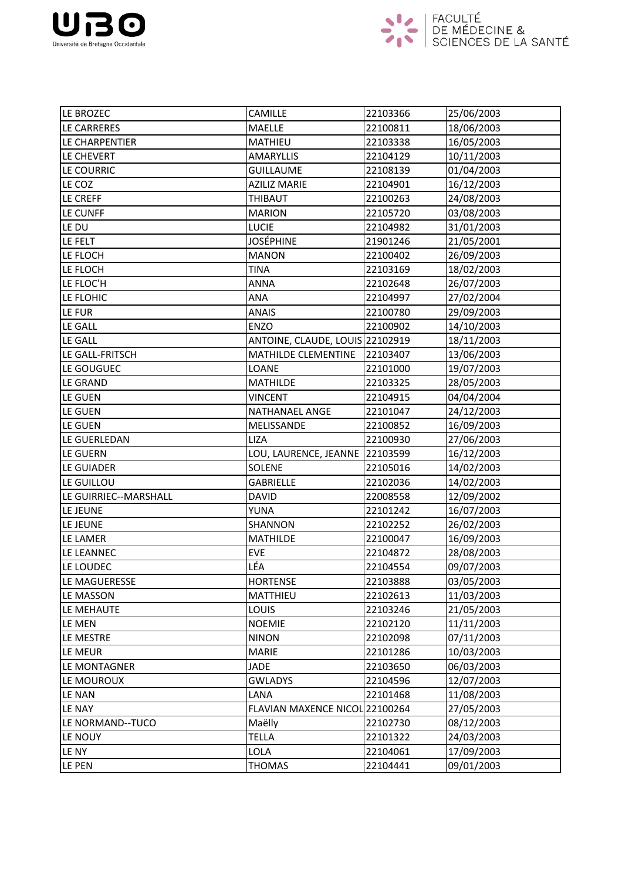



| LE BROZEC             | <b>CAMILLE</b>                  | 22103366 | 25/06/2003 |
|-----------------------|---------------------------------|----------|------------|
| LE CARRERES           | <b>MAELLE</b>                   | 22100811 | 18/06/2003 |
| LE CHARPENTIER        | MATHIEU                         | 22103338 | 16/05/2003 |
| LE CHEVERT            | <b>AMARYLLIS</b>                | 22104129 | 10/11/2003 |
| LE COURRIC            | <b>GUILLAUME</b>                | 22108139 | 01/04/2003 |
| LE COZ                | <b>AZILIZ MARIE</b>             | 22104901 | 16/12/2003 |
| LE CREFF              | THIBAUT                         | 22100263 | 24/08/2003 |
| LE CUNFF              | <b>MARION</b>                   | 22105720 | 03/08/2003 |
| LE DU                 | <b>LUCIE</b>                    | 22104982 | 31/01/2003 |
| LE FELT               | <b>JOSÉPHINE</b>                | 21901246 | 21/05/2001 |
| LE FLOCH              | <b>MANON</b>                    | 22100402 | 26/09/2003 |
| LE FLOCH              | <b>TINA</b>                     | 22103169 | 18/02/2003 |
| LE FLOC'H             | <b>ANNA</b>                     | 22102648 | 26/07/2003 |
| LE FLOHIC             | ANA                             | 22104997 | 27/02/2004 |
| LE FUR                | <b>ANAIS</b>                    | 22100780 | 29/09/2003 |
| <b>LE GALL</b>        | <b>ENZO</b>                     | 22100902 | 14/10/2003 |
| LE GALL               | ANTOINE, CLAUDE, LOUIS 22102919 |          | 18/11/2003 |
| LE GALL-FRITSCH       | <b>MATHILDE CLEMENTINE</b>      | 22103407 | 13/06/2003 |
| LE GOUGUEC            | <b>LOANE</b>                    | 22101000 | 19/07/2003 |
| <b>LE GRAND</b>       | <b>MATHILDE</b>                 | 22103325 | 28/05/2003 |
| LE GUEN               | <b>VINCENT</b>                  | 22104915 | 04/04/2004 |
| LE GUEN               | NATHANAEL ANGE                  | 22101047 | 24/12/2003 |
| LE GUEN               | MELISSANDE                      | 22100852 | 16/09/2003 |
| LE GUERLEDAN          | <b>LIZA</b>                     | 22100930 | 27/06/2003 |
| LE GUERN              | LOU, LAURENCE, JEANNE           | 22103599 | 16/12/2003 |
| LE GUIADER            | <b>SOLENE</b>                   | 22105016 | 14/02/2003 |
| LE GUILLOU            | <b>GABRIELLE</b>                | 22102036 | 14/02/2003 |
| LE GUIRRIEC--MARSHALL | <b>DAVID</b>                    | 22008558 | 12/09/2002 |
| LE JEUNE              | YUNA                            | 22101242 | 16/07/2003 |
| LE JEUNE              | SHANNON                         | 22102252 | 26/02/2003 |
| LE LAMER              | <b>MATHILDE</b>                 | 22100047 | 16/09/2003 |
| LE LEANNEC            | <b>EVE</b>                      | 22104872 | 28/08/2003 |
| LE LOUDEC             | LÉA                             | 22104554 | 09/07/2003 |
| LE MAGUERESSE         | <b>HORTENSE</b>                 | 22103888 | 03/05/2003 |
| LE MASSON             | MATTHIEU                        | 22102613 | 11/03/2003 |
| LE MEHAUTE            | <b>LOUIS</b>                    | 22103246 | 21/05/2003 |
| LE MEN                | <b>NOEMIE</b>                   | 22102120 | 11/11/2003 |
| LE MESTRE             | <b>NINON</b>                    | 22102098 | 07/11/2003 |
| LE MEUR               | <b>MARIE</b>                    | 22101286 | 10/03/2003 |
| LE MONTAGNER          | <b>JADE</b>                     | 22103650 | 06/03/2003 |
| LE MOUROUX            | <b>GWLADYS</b>                  | 22104596 | 12/07/2003 |
| LE NAN                | LANA                            | 22101468 | 11/08/2003 |
| LE NAY                | FLAVIAN MAXENCE NICOL 22100264  |          | 27/05/2003 |
| LE NORMAND--TUCO      | Maëlly                          | 22102730 | 08/12/2003 |
| LE NOUY               | <b>TELLA</b>                    | 22101322 | 24/03/2003 |
| LE NY                 | LOLA                            | 22104061 | 17/09/2003 |
| LE PEN                | <b>THOMAS</b>                   | 22104441 | 09/01/2003 |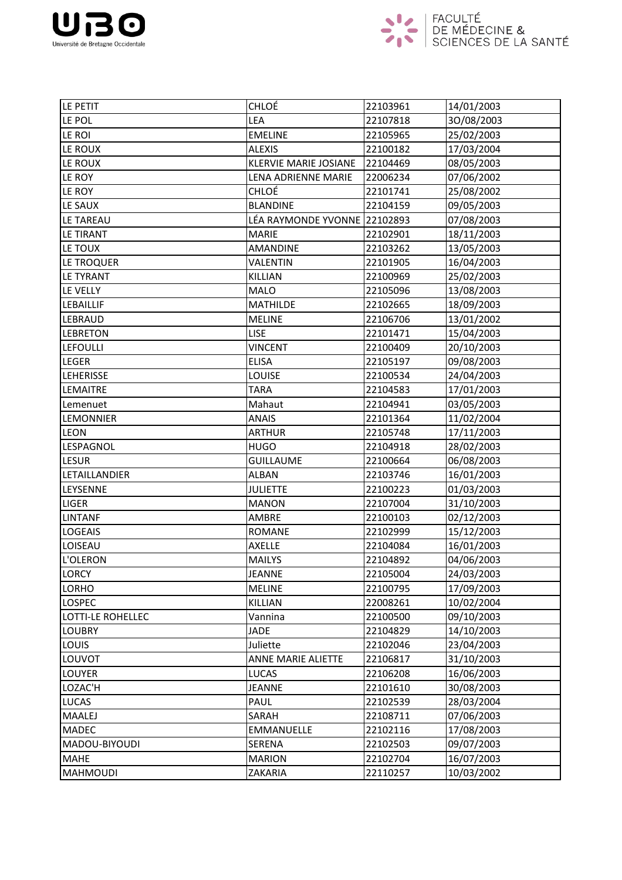



| LE PETIT                 | CHLOÉ                        | 22103961 | 14/01/2003 |
|--------------------------|------------------------------|----------|------------|
| LE POL                   | LEA                          | 22107818 | 30/08/2003 |
| LE ROI                   | <b>EMELINE</b>               | 22105965 | 25/02/2003 |
| LE ROUX                  | <b>ALEXIS</b>                | 22100182 | 17/03/2004 |
| LE ROUX                  | <b>KLERVIE MARIE JOSIANE</b> | 22104469 | 08/05/2003 |
| LE ROY                   | LENA ADRIENNE MARIE          | 22006234 | 07/06/2002 |
| LE ROY                   | CHLOÉ                        | 22101741 | 25/08/2002 |
| LE SAUX                  | <b>BLANDINE</b>              | 22104159 | 09/05/2003 |
| LE TAREAU                | LÉA RAYMONDE YVONNE 22102893 |          | 07/08/2003 |
| <b>LE TIRANT</b>         | <b>MARIE</b>                 | 22102901 | 18/11/2003 |
| LE TOUX                  | <b>AMANDINE</b>              | 22103262 | 13/05/2003 |
| LE TROQUER               | VALENTIN                     | 22101905 | 16/04/2003 |
| LE TYRANT                | KILLIAN                      | 22100969 | 25/02/2003 |
| LE VELLY                 | <b>MALO</b>                  | 22105096 | 13/08/2003 |
| LEBAILLIF                | <b>MATHILDE</b>              | 22102665 | 18/09/2003 |
| <b>LEBRAUD</b>           | <b>MELINE</b>                | 22106706 | 13/01/2002 |
| <b>LEBRETON</b>          | <b>LISE</b>                  | 22101471 | 15/04/2003 |
| <b>LEFOULLI</b>          | <b>VINCENT</b>               | 22100409 | 20/10/2003 |
| <b>LEGER</b>             | <b>ELISA</b>                 | 22105197 | 09/08/2003 |
| <b>LEHERISSE</b>         | <b>LOUISE</b>                | 22100534 | 24/04/2003 |
| <b>LEMAITRE</b>          | <b>TARA</b>                  | 22104583 | 17/01/2003 |
| Lemenuet                 | Mahaut                       | 22104941 | 03/05/2003 |
| <b>LEMONNIER</b>         | <b>ANAIS</b>                 | 22101364 | 11/02/2004 |
| <b>LEON</b>              | <b>ARTHUR</b>                | 22105748 | 17/11/2003 |
| LESPAGNOL                | <b>HUGO</b>                  | 22104918 | 28/02/2003 |
| <b>LESUR</b>             | <b>GUILLAUME</b>             | 22100664 | 06/08/2003 |
| LETAILLANDIER            | <b>ALBAN</b>                 | 22103746 | 16/01/2003 |
| LEYSENNE                 | <b>JULIETTE</b>              | 22100223 | 01/03/2003 |
| LIGER                    | <b>MANON</b>                 | 22107004 | 31/10/2003 |
| <b>LINTANF</b>           | AMBRE                        | 22100103 | 02/12/2003 |
| <b>LOGEAIS</b>           | <b>ROMANE</b>                | 22102999 | 15/12/2003 |
| LOISEAU                  | <b>AXELLE</b>                | 22104084 | 16/01/2003 |
| L'OLERON                 | <b>MAILYS</b>                | 22104892 | 04/06/2003 |
| <b>LORCY</b>             | <b>JEANNE</b>                | 22105004 | 24/03/2003 |
| <b>LORHO</b>             | <b>MELINE</b>                | 22100795 | 17/09/2003 |
| <b>LOSPEC</b>            | KILLIAN                      | 22008261 | 10/02/2004 |
| <b>LOTTI-LE ROHELLEC</b> | Vannina                      | 22100500 | 09/10/2003 |
| <b>LOUBRY</b>            | <b>JADE</b>                  | 22104829 | 14/10/2003 |
| <b>LOUIS</b>             | Juliette                     | 22102046 | 23/04/2003 |
| LOUVOT                   | ANNE MARIE ALIETTE           | 22106817 | 31/10/2003 |
| LOUYER                   | <b>LUCAS</b>                 | 22106208 | 16/06/2003 |
| LOZAC'H                  | <b>JEANNE</b>                | 22101610 | 30/08/2003 |
| <b>LUCAS</b>             | PAUL                         | 22102539 | 28/03/2004 |
| <b>MAALEJ</b>            | SARAH                        | 22108711 | 07/06/2003 |
| <b>MADEC</b>             | <b>EMMANUELLE</b>            | 22102116 | 17/08/2003 |
| MADOU-BIYOUDI            | <b>SERENA</b>                | 22102503 | 09/07/2003 |
| <b>MAHE</b>              | <b>MARION</b>                | 22102704 | 16/07/2003 |
| <b>MAHMOUDI</b>          | ZAKARIA                      | 22110257 | 10/03/2002 |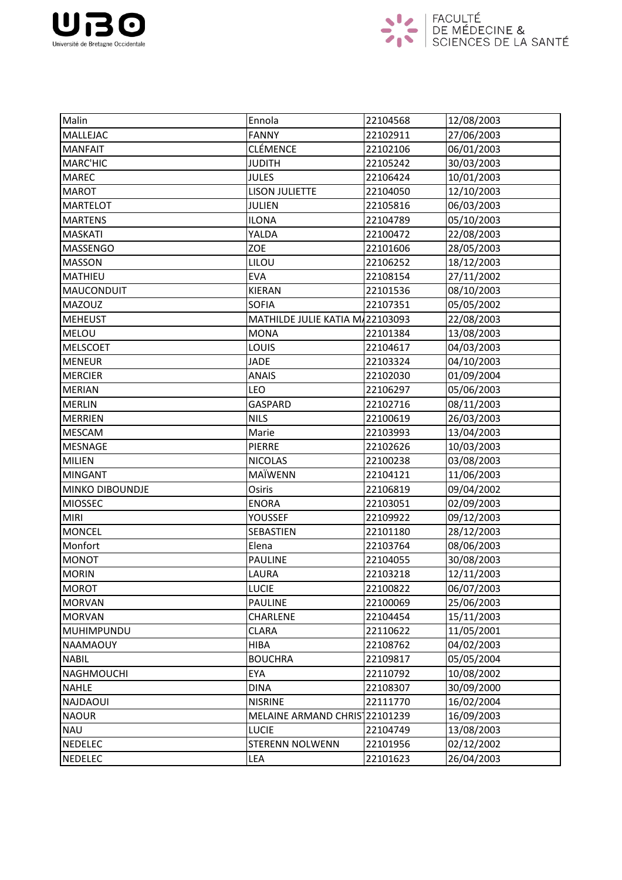



| Malin             | Ennola                          | 22104568 | 12/08/2003 |
|-------------------|---------------------------------|----------|------------|
| MALLEJAC          | <b>FANNY</b>                    | 22102911 | 27/06/2003 |
| <b>MANFAIT</b>    | <b>CLÉMENCE</b>                 | 22102106 | 06/01/2003 |
| <b>MARC'HIC</b>   | <b>JUDITH</b>                   | 22105242 | 30/03/2003 |
| <b>MAREC</b>      | <b>JULES</b>                    | 22106424 | 10/01/2003 |
| <b>MAROT</b>      | <b>LISON JULIETTE</b>           | 22104050 | 12/10/2003 |
| <b>MARTELOT</b>   | <b>JULIEN</b>                   | 22105816 | 06/03/2003 |
| <b>MARTENS</b>    | <b>ILONA</b>                    | 22104789 | 05/10/2003 |
| <b>MASKATI</b>    | YALDA                           | 22100472 | 22/08/2003 |
| <b>MASSENGO</b>   | ZOE                             | 22101606 | 28/05/2003 |
| <b>MASSON</b>     | LILOU                           | 22106252 | 18/12/2003 |
| MATHIEU           | <b>EVA</b>                      | 22108154 | 27/11/2002 |
| MAUCONDUIT        | <b>KIERAN</b>                   | 22101536 | 08/10/2003 |
| MAZOUZ            | <b>SOFIA</b>                    | 22107351 | 05/05/2002 |
| <b>MEHEUST</b>    | MATHILDE JULIE KATIA M/22103093 |          | 22/08/2003 |
| <b>MELOU</b>      | <b>MONA</b>                     | 22101384 | 13/08/2003 |
| <b>MELSCOET</b>   | LOUIS                           | 22104617 | 04/03/2003 |
| <b>MENEUR</b>     | <b>JADE</b>                     | 22103324 | 04/10/2003 |
| <b>MERCIER</b>    | <b>ANAIS</b>                    | 22102030 | 01/09/2004 |
| <b>MERIAN</b>     | LEO                             | 22106297 | 05/06/2003 |
| <b>MERLIN</b>     | <b>GASPARD</b>                  | 22102716 | 08/11/2003 |
| <b>MERRIEN</b>    | <b>NILS</b>                     | 22100619 | 26/03/2003 |
| <b>MESCAM</b>     | Marie                           | 22103993 | 13/04/2003 |
| <b>MESNAGE</b>    | <b>PIERRE</b>                   | 22102626 | 10/03/2003 |
| <b>MILIEN</b>     | <b>NICOLAS</b>                  | 22100238 | 03/08/2003 |
| <b>MINGANT</b>    | MAÏWENN                         | 22104121 | 11/06/2003 |
| MINKO DIBOUNDJE   | Osiris                          | 22106819 | 09/04/2002 |
| <b>MIOSSEC</b>    | <b>ENORA</b>                    | 22103051 | 02/09/2003 |
| <b>MIRI</b>       | YOUSSEF                         | 22109922 | 09/12/2003 |
| <b>MONCEL</b>     | SEBASTIEN                       | 22101180 | 28/12/2003 |
| Monfort           | Elena                           | 22103764 | 08/06/2003 |
| MONOT             | PAULINE                         | 22104055 | 30/08/2003 |
| <b>MORIN</b>      | LAURA                           | 22103218 | 12/11/2003 |
| <b>MOROT</b>      | <b>LUCIE</b>                    | 22100822 | 06/07/2003 |
| <b>MORVAN</b>     | <b>PAULINE</b>                  | 22100069 | 25/06/2003 |
| <b>MORVAN</b>     | CHARLENE                        | 22104454 | 15/11/2003 |
| MUHIMPUNDU        | <b>CLARA</b>                    | 22110622 | 11/05/2001 |
| NAAMAOUY          | HIBA                            | 22108762 | 04/02/2003 |
| <b>NABIL</b>      | <b>BOUCHRA</b>                  | 22109817 | 05/05/2004 |
| <b>NAGHMOUCHI</b> | EYA                             | 22110792 | 10/08/2002 |
| <b>NAHLE</b>      | <b>DINA</b>                     | 22108307 | 30/09/2000 |
| NAJDAOUI          | <b>NISRINE</b>                  | 22111770 | 16/02/2004 |
| <b>NAOUR</b>      | MELAINE ARMAND CHRIS 22101239   |          | 16/09/2003 |
| <b>NAU</b>        | <b>LUCIE</b>                    | 22104749 | 13/08/2003 |
| <b>NEDELEC</b>    | <b>STERENN NOLWENN</b>          | 22101956 | 02/12/2002 |
| <b>NEDELEC</b>    | LEA                             | 22101623 | 26/04/2003 |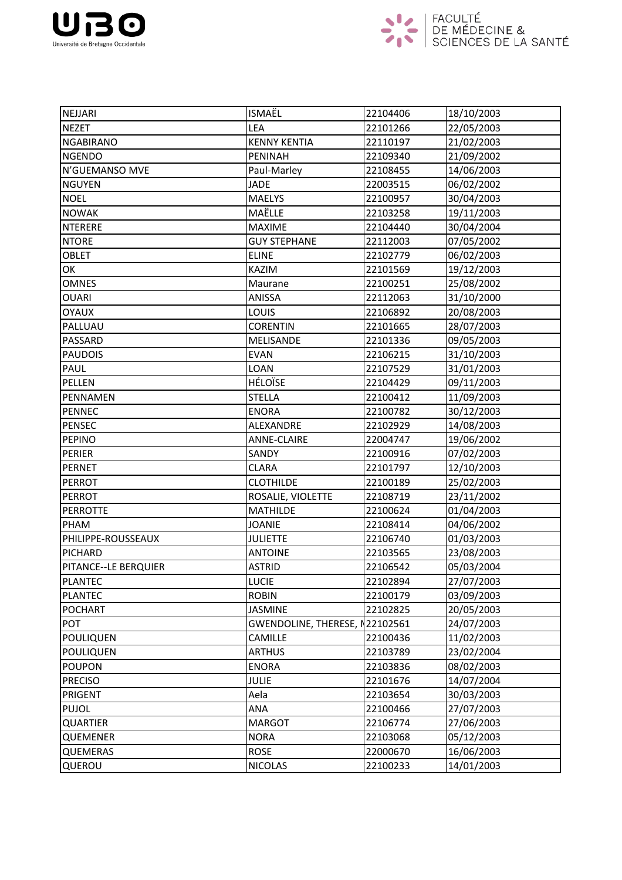



| NEJJARI              | <b>ISMAËL</b>                  | 22104406 | 18/10/2003 |
|----------------------|--------------------------------|----------|------------|
| <b>NEZET</b>         | LEA                            | 22101266 | 22/05/2003 |
| <b>NGABIRANO</b>     | <b>KENNY KENTIA</b>            | 22110197 | 21/02/2003 |
| <b>NGENDO</b>        | <b>PENINAH</b>                 | 22109340 | 21/09/2002 |
| N'GUEMANSO MVE       | Paul-Marley                    | 22108455 | 14/06/2003 |
| <b>NGUYEN</b>        | <b>JADE</b>                    | 22003515 | 06/02/2002 |
| <b>NOEL</b>          | <b>MAELYS</b>                  | 22100957 | 30/04/2003 |
| <b>NOWAK</b>         | MAËLLE                         | 22103258 | 19/11/2003 |
| <b>NTERERE</b>       | <b>MAXIME</b>                  | 22104440 | 30/04/2004 |
| <b>NTORE</b>         | <b>GUY STEPHANE</b>            | 22112003 | 07/05/2002 |
| <b>OBLET</b>         | <b>ELINE</b>                   | 22102779 | 06/02/2003 |
| OK                   | <b>KAZIM</b>                   | 22101569 | 19/12/2003 |
| <b>OMNES</b>         | Maurane                        | 22100251 | 25/08/2002 |
| <b>OUARI</b>         | ANISSA                         | 22112063 | 31/10/2000 |
| <b>OYAUX</b>         | LOUIS                          | 22106892 | 20/08/2003 |
| PALLUAU              | <b>CORENTIN</b>                | 22101665 | 28/07/2003 |
| PASSARD              | MELISANDE                      | 22101336 | 09/05/2003 |
| <b>PAUDOIS</b>       | <b>EVAN</b>                    | 22106215 | 31/10/2003 |
| PAUL                 | LOAN                           | 22107529 | 31/01/2003 |
| <b>PELLEN</b>        | <b>HÉLOÏSE</b>                 | 22104429 | 09/11/2003 |
| PENNAMEN             | <b>STELLA</b>                  | 22100412 | 11/09/2003 |
| <b>PENNEC</b>        | <b>ENORA</b>                   | 22100782 | 30/12/2003 |
| <b>PENSEC</b>        | ALEXANDRE                      | 22102929 | 14/08/2003 |
| <b>PEPINO</b>        | <b>ANNE-CLAIRE</b>             | 22004747 | 19/06/2002 |
| <b>PERIER</b>        | SANDY                          | 22100916 | 07/02/2003 |
| <b>PERNET</b>        | <b>CLARA</b>                   | 22101797 | 12/10/2003 |
| <b>PERROT</b>        | <b>CLOTHILDE</b>               | 22100189 | 25/02/2003 |
| <b>PERROT</b>        | ROSALIE, VIOLETTE              | 22108719 | 23/11/2002 |
| <b>PERROTTE</b>      | <b>MATHILDE</b>                | 22100624 | 01/04/2003 |
| PHAM                 | <b>JOANIE</b>                  | 22108414 | 04/06/2002 |
| PHILIPPE-ROUSSEAUX   | <b>JULIETTE</b>                | 22106740 | 01/03/2003 |
| PICHARD              | <b>ANTOINE</b>                 | 22103565 | 23/08/2003 |
| PITANCE--LE BERQUIER | <b>ASTRID</b>                  | 22106542 | 05/03/2004 |
| <b>PLANTEC</b>       | <b>LUCIE</b>                   | 22102894 | 27/07/2003 |
| <b>PLANTEC</b>       | <b>ROBIN</b>                   | 22100179 | 03/09/2003 |
| <b>POCHART</b>       | <b>JASMINE</b>                 | 22102825 | 20/05/2003 |
| POT                  | GWENDOLINE, THERESE, N22102561 |          | 24/07/2003 |
| <b>POULIQUEN</b>     | <b>CAMILLE</b>                 | 22100436 | 11/02/2003 |
| <b>POULIQUEN</b>     | <b>ARTHUS</b>                  | 22103789 | 23/02/2004 |
| <b>POUPON</b>        | <b>ENORA</b>                   | 22103836 | 08/02/2003 |
| <b>PRECISO</b>       | <b>JULIE</b>                   | 22101676 | 14/07/2004 |
| PRIGENT              | Aela                           | 22103654 | 30/03/2003 |
| <b>PUJOL</b>         | ANA                            | 22100466 | 27/07/2003 |
| <b>QUARTIER</b>      | <b>MARGOT</b>                  | 22106774 | 27/06/2003 |
| <b>QUEMENER</b>      | <b>NORA</b>                    | 22103068 | 05/12/2003 |
| <b>QUEMERAS</b>      | <b>ROSE</b>                    | 22000670 | 16/06/2003 |
| QUEROU               | <b>NICOLAS</b>                 | 22100233 | 14/01/2003 |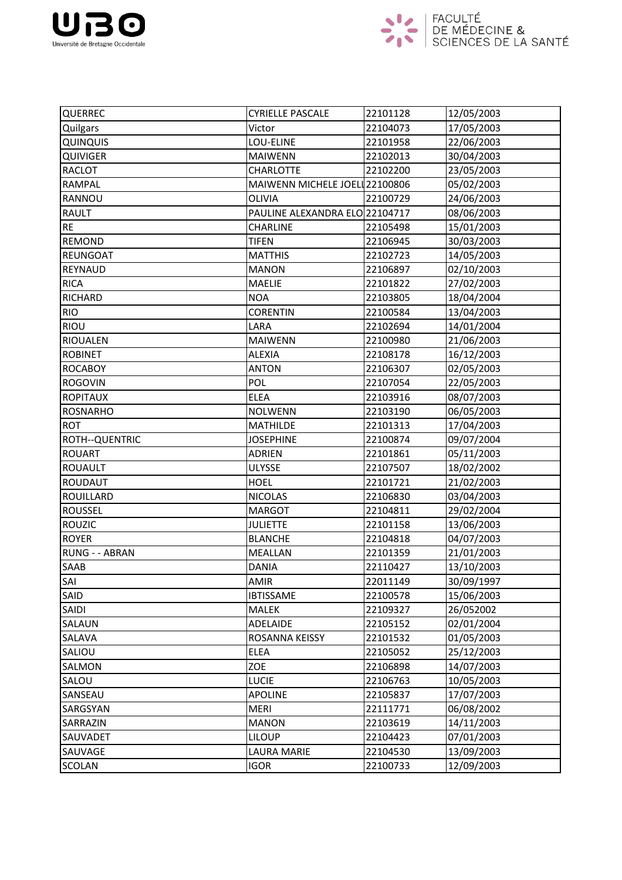



| QUERREC          | <b>CYRIELLE PASCALE</b>        | 22101128 | 12/05/2003 |
|------------------|--------------------------------|----------|------------|
| Quilgars         | Victor                         | 22104073 | 17/05/2003 |
| QUINQUIS         | LOU-ELINE                      | 22101958 | 22/06/2003 |
| QUIVIGER         | <b>MAIWENN</b>                 | 22102013 | 30/04/2003 |
| <b>RACLOT</b>    | <b>CHARLOTTE</b>               | 22102200 | 23/05/2003 |
| <b>RAMPAL</b>    | MAIWENN MICHELE JOEL 22100806  |          | 05/02/2003 |
| RANNOU           | <b>OLIVIA</b>                  | 22100729 | 24/06/2003 |
| <b>RAULT</b>     | PAULINE ALEXANDRA ELO 22104717 |          | 08/06/2003 |
| <b>RE</b>        | CHARLINE                       | 22105498 | 15/01/2003 |
| <b>REMOND</b>    | <b>TIFEN</b>                   | 22106945 | 30/03/2003 |
| <b>REUNGOAT</b>  | <b>MATTHIS</b>                 | 22102723 | 14/05/2003 |
| <b>REYNAUD</b>   | <b>MANON</b>                   | 22106897 | 02/10/2003 |
| <b>RICA</b>      | <b>MAELIE</b>                  | 22101822 | 27/02/2003 |
| RICHARD          | <b>NOA</b>                     | 22103805 | 18/04/2004 |
| <b>RIO</b>       | <b>CORENTIN</b>                | 22100584 | 13/04/2003 |
| RIOU             | LARA                           | 22102694 | 14/01/2004 |
| <b>RIOUALEN</b>  | <b>MAIWENN</b>                 | 22100980 | 21/06/2003 |
| <b>ROBINET</b>   | <b>ALEXIA</b>                  | 22108178 | 16/12/2003 |
| <b>ROCABOY</b>   | <b>ANTON</b>                   | 22106307 | 02/05/2003 |
| <b>ROGOVIN</b>   | <b>POL</b>                     | 22107054 | 22/05/2003 |
| <b>ROPITAUX</b>  | <b>ELEA</b>                    | 22103916 | 08/07/2003 |
| <b>ROSNARHO</b>  | <b>NOLWENN</b>                 | 22103190 | 06/05/2003 |
| <b>ROT</b>       | <b>MATHILDE</b>                | 22101313 | 17/04/2003 |
| ROTH--QUENTRIC   | <b>JOSEPHINE</b>               | 22100874 | 09/07/2004 |
| <b>ROUART</b>    | <b>ADRIEN</b>                  | 22101861 | 05/11/2003 |
| <b>ROUAULT</b>   | <b>ULYSSE</b>                  | 22107507 | 18/02/2002 |
| <b>ROUDAUT</b>   | <b>HOEL</b>                    | 22101721 | 21/02/2003 |
| <b>ROUILLARD</b> | <b>NICOLAS</b>                 | 22106830 | 03/04/2003 |
| <b>ROUSSEL</b>   | <b>MARGOT</b>                  | 22104811 | 29/02/2004 |
| ROUZIC           | <b>JULIETTE</b>                | 22101158 | 13/06/2003 |
| <b>ROYER</b>     | <b>BLANCHE</b>                 | 22104818 | 04/07/2003 |
| RUNG - - ABRAN   | <b>MEALLAN</b>                 | 22101359 | 21/01/2003 |
| SAAB             | <b>DANIA</b>                   | 22110427 | 13/10/2003 |
| SAI              | <b>AMIR</b>                    | 22011149 | 30/09/1997 |
| SAID             | <b>IBTISSAME</b>               | 22100578 | 15/06/2003 |
| <b>SAIDI</b>     | <b>MALEK</b>                   | 22109327 | 26/052002  |
| <b>SALAUN</b>    | <b>ADELAIDE</b>                | 22105152 | 02/01/2004 |
| SALAVA           | ROSANNA KEISSY                 | 22101532 | 01/05/2003 |
| SALIOU           | <b>ELEA</b>                    | 22105052 | 25/12/2003 |
| SALMON           | ZOE                            | 22106898 | 14/07/2003 |
| <b>SALOU</b>     | <b>LUCIE</b>                   | 22106763 | 10/05/2003 |
| SANSEAU          | <b>APOLINE</b>                 | 22105837 | 17/07/2003 |
| SARGSYAN         | <b>MERI</b>                    | 22111771 | 06/08/2002 |
| SARRAZIN         | <b>MANON</b>                   | 22103619 | 14/11/2003 |
| <b>SAUVADET</b>  | <b>LILOUP</b>                  | 22104423 | 07/01/2003 |
| SAUVAGE          | <b>LAURA MARIE</b>             | 22104530 | 13/09/2003 |
| <b>SCOLAN</b>    | <b>IGOR</b>                    | 22100733 | 12/09/2003 |